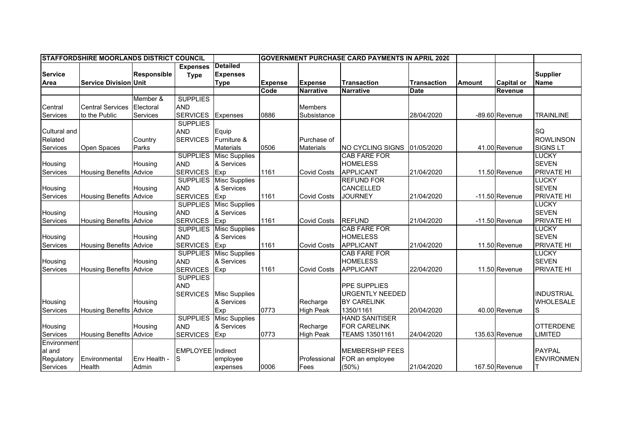| <b>ISTAFFORDSHIRE MOORLANDS DISTRICT COUNCIL</b> |                                |                    |                          | <b>IGOVERNMENT PURCHASE CARD PAYMENTS IN APRIL 2020</b> |                |                    |                        |                    |               |                   |                   |
|--------------------------------------------------|--------------------------------|--------------------|--------------------------|---------------------------------------------------------|----------------|--------------------|------------------------|--------------------|---------------|-------------------|-------------------|
|                                                  |                                |                    | <b>Expenses</b>          | <b>Detailed</b>                                         |                |                    |                        |                    |               |                   |                   |
| <b>Service</b>                                   |                                | <b>Responsible</b> | <b>Type</b>              | <b>Expenses</b>                                         |                |                    |                        |                    |               |                   | <b>Supplier</b>   |
| Area                                             | <b>Service Division Unit</b>   |                    |                          | <b>Type</b>                                             | <b>Expense</b> | <b>Expense</b>     | <b>Transaction</b>     | <b>Transaction</b> | <b>Amount</b> | <b>Capital or</b> | <b>Name</b>       |
|                                                  |                                |                    |                          |                                                         | Code           | <b>Narrative</b>   | <b>Narrative</b>       | <b>Date</b>        |               | Revenue           |                   |
|                                                  |                                | Member &           | <b>SUPPLIES</b>          |                                                         |                |                    |                        |                    |               |                   |                   |
| Central                                          | <b>Central Services</b>        | Electoral          | <b>AND</b>               |                                                         |                | <b>Members</b>     |                        |                    |               |                   |                   |
| Services                                         | to the Public                  | Services           | <b>SERVICES</b>          | Expenses                                                | 0886           | Subsistance        |                        | 28/04/2020         |               | -89.60 Revenue    | <b>TRAINLINE</b>  |
|                                                  |                                |                    | <b>SUPPLIES</b>          |                                                         |                |                    |                        |                    |               |                   |                   |
| <b>Cultural and</b>                              |                                |                    | <b>AND</b>               | Equip                                                   |                |                    |                        |                    |               |                   | SQ                |
| Related                                          |                                | Country            | <b>SERVICES</b>          | Furniture &                                             |                | Purchase of        |                        |                    |               |                   | <b>ROWLINSON</b>  |
| Services                                         | Open Spaces                    | Parks              |                          | <b>Materials</b>                                        | 0506           | <b>Materials</b>   | NO CYCLING SIGNS       | 01/05/2020         |               | 41.00 Revenue     | <b>SIGNS LT</b>   |
|                                                  |                                |                    | <b>SUPPLIES</b>          | <b>Misc Supplies</b>                                    |                |                    | CAB FARE FOR           |                    |               |                   | <b>LUCKY</b>      |
| Housing                                          |                                | Housing            | <b>AND</b>               | & Services                                              |                |                    | <b>HOMELESS</b>        |                    |               |                   | <b>SEVEN</b>      |
| Services                                         | <b>Housing Benefits Advice</b> |                    | <b>SERVICES</b>          | Exp                                                     | 1161           | <b>Covid Costs</b> | <b>APPLICANT</b>       | 21/04/2020         |               | 11.50 Revenue     | PRIVATE HI        |
|                                                  |                                |                    |                          | <b>SUPPLIES</b> Misc Supplies                           |                |                    | <b>REFUND FOR</b>      |                    |               |                   | LUCKY             |
| Housing                                          |                                | Housing            | <b>AND</b>               | & Services                                              |                |                    | <b>CANCELLED</b>       |                    |               |                   | <b>SEVEN</b>      |
| Services                                         | <b>Housing Benefits</b>        | Advice             | <b>SERVICES</b>          | Exp                                                     | 1161           | <b>Covid Costs</b> | <b>JOURNEY</b>         | 21/04/2020         |               | $-11.50$ Revenue  | <b>PRIVATE HI</b> |
|                                                  |                                |                    | <b>SUPPLIES</b>          | <b>Misc Supplies</b>                                    |                |                    |                        |                    |               |                   | <b>LUCKY</b>      |
| Housing                                          |                                | Housing            | <b>AND</b>               | & Services                                              |                |                    |                        |                    |               |                   | <b>SEVEN</b>      |
| Services                                         | <b>Housing Benefits Advice</b> |                    | <b>SERVICES</b>          | Exp                                                     | 1161           | <b>Covid Costs</b> | <b>REFUND</b>          | 21/04/2020         |               | -11.50 Revenue    | PRIVATE HI        |
|                                                  |                                |                    | <b>SUPPLIES</b>          | <b>Misc Supplies</b>                                    |                |                    | <b>CAB FARE FOR</b>    |                    |               |                   | LUCKY             |
| Housing                                          |                                | Housing            | <b>AND</b>               | & Services                                              |                |                    | <b>HOMELESS</b>        |                    |               |                   | <b>SEVEN</b>      |
| Services                                         | <b>Housing Benefits Advice</b> |                    | <b>SERVICES</b>          | Exp                                                     | 1161           | <b>Covid Costs</b> | <b>APPLICANT</b>       | 21/04/2020         |               | 11.50 Revenue     | PRIVATE HI        |
|                                                  |                                |                    | <b>SUPPLIES</b>          | <b>Misc Supplies</b>                                    |                |                    | CAB FARE FOR           |                    |               |                   | <b>LUCKY</b>      |
| Housing                                          |                                | Housing            | <b>AND</b>               | & Services                                              |                |                    | <b>HOMELESS</b>        |                    |               |                   | <b>SEVEN</b>      |
| Services                                         | <b>Housing Benefits Advice</b> |                    | <b>SERVICES</b>          | Exp                                                     | 1161           | <b>Covid Costs</b> | <b>APPLICANT</b>       | 22/04/2020         |               | 11.50 Revenue     | <b>PRIVATE HI</b> |
|                                                  |                                |                    | <b>SUPPLIES</b>          |                                                         |                |                    |                        |                    |               |                   |                   |
|                                                  |                                |                    | <b>AND</b>               |                                                         |                |                    | <b>PPE SUPPLIES</b>    |                    |               |                   |                   |
|                                                  |                                |                    | <b>SERVICES</b>          | <b>Misc Supplies</b>                                    |                |                    | <b>URGENTLY NEEDED</b> |                    |               |                   | <b>INDUSTRIAL</b> |
| Housing                                          |                                | Housing            |                          | & Services                                              |                | Recharge           | <b>BY CARELINK</b>     |                    |               |                   | <b>WHOLESALE</b>  |
| Services                                         | <b>Housing Benefits</b>        | Advice             |                          | Exp                                                     | 0773           | <b>High Peak</b>   | 1350/1161              | 20/04/2020         |               | 40.00 Revenue     | S                 |
|                                                  |                                |                    | <b>SUPPLIES</b>          | <b>Misc Supplies</b>                                    |                |                    | <b>HAND SANITISER</b>  |                    |               |                   |                   |
| Housing                                          |                                | Housing            | <b>AND</b>               | & Services                                              |                | Recharge           | <b>FOR CARELINK</b>    |                    |               |                   | <b>OTTERDENE</b>  |
| Services                                         | <b>Housing Benefits Advice</b> |                    | <b>SERVICES</b>          | Exp                                                     | 0773           | <b>High Peak</b>   | TEAMS 13501161         | 24/04/2020         |               | 135.63 Revenue    | LIMITED           |
| Environment                                      |                                |                    |                          |                                                         |                |                    |                        |                    |               |                   |                   |
| al and                                           |                                |                    | <b>EMPLOYEE</b> Indirect |                                                         |                |                    | <b>MEMBERSHIP FEES</b> |                    |               |                   | <b>PAYPAL</b>     |
| Regulatory                                       | Environmental                  | Env Health -       | S                        | employee                                                |                | Professional       | FOR an employee        |                    |               |                   | <b>ENVIRONMEN</b> |
| Services                                         | Health                         | Admin              |                          | expenses                                                | 0006           | Fees               | (50%)                  | 21/04/2020         |               | 167.50 Revenue    |                   |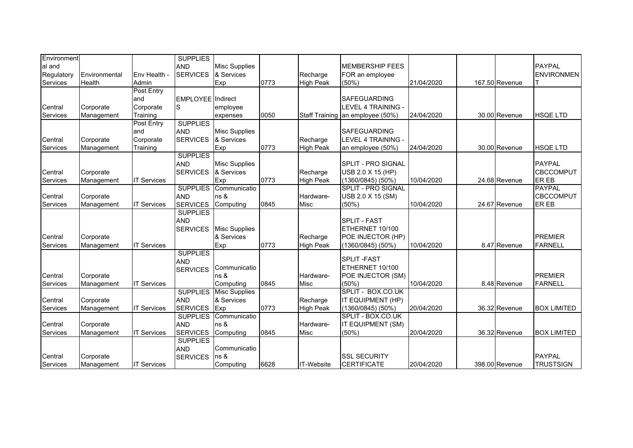| Environment     |               |                    | <b>SUPPLIES</b>          |                      |      |                   |                                  |            |                |                    |
|-----------------|---------------|--------------------|--------------------------|----------------------|------|-------------------|----------------------------------|------------|----------------|--------------------|
| al and          |               |                    | <b>AND</b>               | <b>Misc Supplies</b> |      |                   | <b>MEMBERSHIP FEES</b>           |            |                | <b>PAYPAL</b>      |
| Regulatory      | Environmental | Env Health -       | <b>SERVICES</b>          | & Services           |      | Recharge          | FOR an employee                  |            |                | <b>ENVIRONMEN</b>  |
| Services        | Health        | Admin              |                          | Exp                  | 0773 | <b>High Peak</b>  | $(50\%)$                         | 21/04/2020 | 167.50 Revenue |                    |
|                 |               | Post Entry         |                          |                      |      |                   |                                  |            |                |                    |
|                 |               | and                | <b>EMPLOYEE</b> Indirect |                      |      |                   | <b>SAFEGUARDING</b>              |            |                |                    |
| Central         | Corporate     | Corporate          | S                        | employee             |      |                   | LEVEL 4 TRAINING -               |            |                |                    |
| Services        | Management    | Training           |                          | expenses             | 0050 |                   | Staff Training an employee (50%) | 24/04/2020 | 30.00 Revenue  | <b>HSQE LTD</b>    |
|                 |               | Post Entry         | <b>SUPPLIES</b>          |                      |      |                   |                                  |            |                |                    |
|                 |               | and                | <b>AND</b>               | <b>Misc Supplies</b> |      |                   | <b>SAFEGUARDING</b>              |            |                |                    |
| Central         | Corporate     | Corporate          | <b>SERVICES</b>          | & Services           |      | Recharge          | <b>LEVEL 4 TRAINING -</b>        |            |                |                    |
| Services        | Management    | Training           |                          | Exp                  | 0773 | <b>High Peak</b>  | an employee (50%)                | 24/04/2020 | 30.00 Revenue  | <b>HSQE LTD</b>    |
|                 |               |                    | <b>SUPPLIES</b>          |                      |      |                   |                                  |            |                |                    |
|                 |               |                    | <b>AND</b>               | <b>Misc Supplies</b> |      |                   | <b>SPLIT - PRO SIGNAL</b>        |            |                | <b>PAYPAL</b>      |
| Central         | Corporate     |                    | <b>SERVICES</b>          | & Services           |      | Recharge          | USB 2.0 X 15 (HP)                |            |                | <b>CBCCOMPUT</b>   |
| Services        | Management    | <b>IT Services</b> |                          | Exp                  | 0773 | <b>High Peak</b>  | $(1360/0845)$ (50%)              | 10/04/2020 | 24.68 Revenue  | ER EB              |
|                 |               |                    | <b>SUPPLIES</b>          | Communicatio         |      |                   | <b>SPLIT - PRO SIGNAL</b>        |            |                | <b>PAYPAL</b>      |
| Central         | Corporate     |                    | <b>AND</b>               | ns &                 |      | Hardware-         | USB 2.0 X 15 (SM)                |            |                | <b>CBCCOMPUT</b>   |
| Services        | Management    | <b>IT Services</b> | <b>SERVICES</b>          | Computing            | 0845 | <b>Misc</b>       | $(50\%)$                         | 10/04/2020 | 24.67 Revenue  | ER EB              |
|                 |               |                    | <b>SUPPLIES</b>          |                      |      |                   |                                  |            |                |                    |
|                 |               |                    | <b>AND</b>               |                      |      |                   | <b>SPLIT - FAST</b>              |            |                |                    |
|                 |               |                    | <b>SERVICES</b>          | <b>Misc Supplies</b> |      |                   | ETHERNET 10/100                  |            |                |                    |
| Central         | Corporate     |                    |                          | & Services           |      | Recharge          | POE INJECTOR (HP)                |            |                | <b>PREMIER</b>     |
| Services        | Management    | <b>IT Services</b> |                          | Exp                  | 0773 | <b>High Peak</b>  | (1360/0845) (50%)                | 10/04/2020 | 8.47 Revenue   | <b>FARNELL</b>     |
|                 |               |                    | <b>SUPPLIES</b>          |                      |      |                   |                                  |            |                |                    |
|                 |               |                    | <b>AND</b>               |                      |      |                   | <b>SPLIT-FAST</b>                |            |                |                    |
|                 |               |                    | <b>SERVICES</b>          | Communicatio         |      |                   | ETHERNET 10/100                  |            |                |                    |
| Central         | Corporate     |                    |                          | ns &                 |      | Hardware-         | POE INJECTOR (SM)                |            |                | <b>PREMIER</b>     |
| Services        | Management    | <b>IT Services</b> |                          | Computing            | 0845 | <b>Misc</b>       | (50%                             | 10/04/2020 | 8.48 Revenue   | <b>FARNELL</b>     |
|                 |               |                    | <b>SUPPLIES</b>          | <b>Misc Supplies</b> |      |                   | SPLIT - BOX.CO.UK                |            |                |                    |
| Central         | Corporate     |                    | <b>AND</b>               | & Services           |      | Recharge          | IT EQUIPMENT (HP)                |            |                |                    |
| Services        | Management    | <b>IT Services</b> | <b>SERVICES</b>          | Exp                  | 0773 | <b>High Peak</b>  | $(1360/0845)$ (50%)              | 20/04/2020 | 36.32 Revenue  | <b>BOX LIMITED</b> |
|                 |               |                    | <b>SUPPLIES</b>          | Communicatio         |      |                   | SPLIT - BOX.CO.UK                |            |                |                    |
| Central         | Corporate     |                    | <b>AND</b>               | ns &                 |      | Hardware-         | IT EQUIPMENT (SM)                |            |                |                    |
| <b>Services</b> | Management    | <b>IT Services</b> | <b>SERVICES</b>          | Computing            | 0845 | <b>Misc</b>       | (50%                             | 20/04/2020 | 36.32 Revenue  | <b>BOX LIMITED</b> |
|                 |               |                    | <b>SUPPLIES</b>          |                      |      |                   |                                  |            |                |                    |
|                 |               |                    | <b>AND</b>               | Communicatio         |      |                   |                                  |            |                |                    |
| Central         | Corporate     |                    | <b>SERVICES</b>          | ns &                 |      |                   | <b>SSL SECURITY</b>              |            |                | <b>PAYPAL</b>      |
| Services        | Management    | <b>IT Services</b> |                          | Computing            | 6628 | <b>IT-Website</b> | <b>CERTIFICATE</b>               | 20/04/2020 | 398.00 Revenue | <b>TRUSTSIGN</b>   |